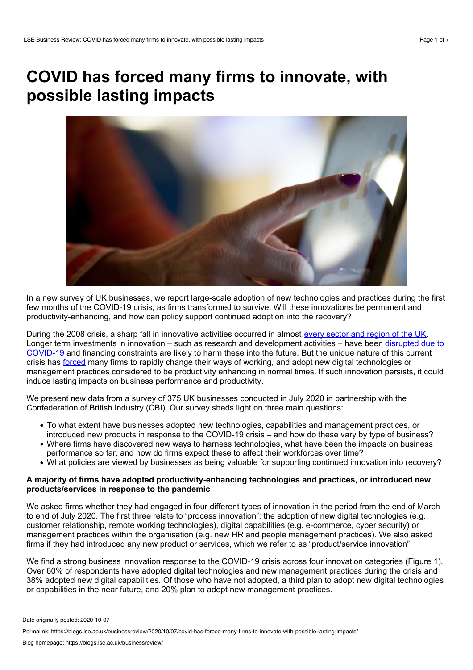# **COVID has forced many firms to innovate, with possible lasting impacts**



In a new survey of UK businesses, we report large-scale adoption of new technologies and practices during the first few months of the COVID-19 crisis, as firms transformed to survive. Will these innovations be permanent and productivity-enhancing, and how can policy support continued adoption into the recovery?

During the 2008 crisis, a sharp fall in innovative activities occurred in almost every sector and [region](https://www.enterpriseresearch.ac.uk/wp-content/uploads/2020/05/ERC-Insight-Final-RD-and-innovation-after-Covid-19.pdf) of the UK. Longer term investments in innovation – such as research and [development](https://www.enterpriseresearch.ac.uk/wp-content/uploads/2020/09/ERC-Insight-Assessing-the-impact-of-Covid-19-on-Innovate-UK-award-holders..pdf) activities – have been disrupted due to COVID-19 and financing constraints are likely to harm these into the future. But the unique nature of this current crisis has [forced](https://www.brookings.edu/wp-content/uploads/2020/08/AutorReynolds_LO_FINAL.pdf) many firms to rapidly change their ways of working, and adopt new digital technologies or management practices considered to be productivity enhancing in normal times. If such innovation persists, it could induce lasting impacts on business performance and productivity.

We present new data from a survey of 375 UK businesses conducted in July 2020 in partnership with the Confederation of British Industry (CBI). Our survey sheds light on three main questions:

- To what extent have businesses adopted new technologies, capabilities and management practices, or introduced new products in response to the COVID-19 crisis – and how do these vary by type of business?
- Where firms have discovered new ways to harness technologies, what have been the impacts on business performance so far, and how do firms expect these to affect their workforces over time?
- What policies are viewed by businesses as being valuable for supporting continued innovation into recovery?

# **A majority of firms have adopted productivity-enhancing technologies and practices, or introduced new products/services in response to the pandemic**

We asked firms whether they had engaged in four different types of innovation in the period from the end of March to end of July 2020. The first three relate to "process innovation": the adoption of new digital technologies (e.g. customer relationship, remote working technologies), digital capabilities (e.g. e-commerce, cyber security) or management practices within the organisation (e.g. new HR and people management practices). We also asked firms if they had introduced any new product or services, which we refer to as "product/service innovation".

We find a strong business innovation response to the COVID-19 crisis across four innovation categories (Figure 1). Over 60% of respondents have adopted digital technologies and new management practices during the crisis and 38% adopted new digital capabilities. Of those who have not adopted, a third plan to adopt new digital technologies or capabilities in the near future, and 20% plan to adopt new management practices.

Date originally posted: 2020-10-07

Permalink: https://blogs.lse.ac.uk/businessreview/2020/10/07/covid-has-forced-many-firms-to-innovate-with-possible-lasting-impacts/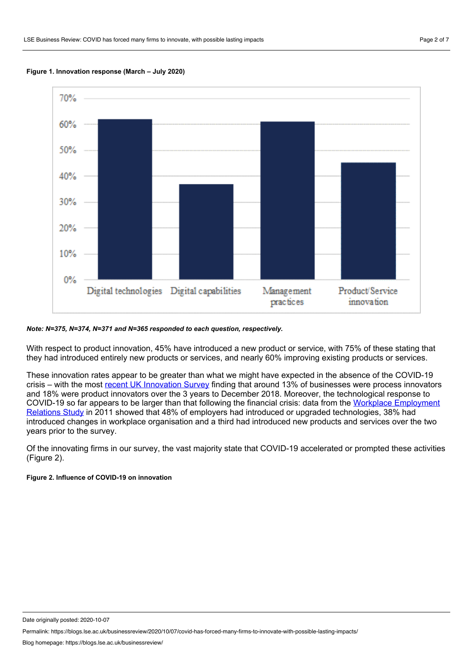



## *Note: N=375, N=374, N=371 and N=365 responded to each question, respectively.*

With respect to product innovation, 45% have introduced a new product or service, with 75% of these stating that they had introduced entirely new products or services, and nearly 60% improving existing products or services.

These innovation rates appear to be greater than what we might have expected in the absence of the COVID-19 crisis – with the most recent UK [Innovation](https://assets.publishing.service.gov.uk/government/uploads/system/uploads/attachment_data/file/903582/UK_Innovation_Survey_2019_Main_Report.pdf) Survey finding that around 13% of businesses were process innovators and 18% were product innovators over the 3 years to December 2018. Moreover, the technological response to COVID-19 so far appears to be larger than that following the financial crisis: data from the Workplace Employment Relations Study in 2011 showed that 48% of employers had introduced or upgraded [technologies,](https://assets.publishing.service.gov.uk/government/uploads/system/uploads/attachment_data/file/336651/bis-14-1008-WERS-first-findings-report-fourth-edition-july-2014.pdf) 38% had introduced changes in workplace organisation and a third had introduced new products and services over the two years prior to the survey.

Of the innovating firms in our survey, the vast majority state that COVID-19 accelerated or prompted these activities (Figure 2).

## **Figure 2. Influence of COVID-19 on innovation**

Date originally posted: 2020-10-07

Permalink: https://blogs.lse.ac.uk/businessreview/2020/10/07/covid-has-forced-many-firms-to-innovate-with-possible-lasting-impacts/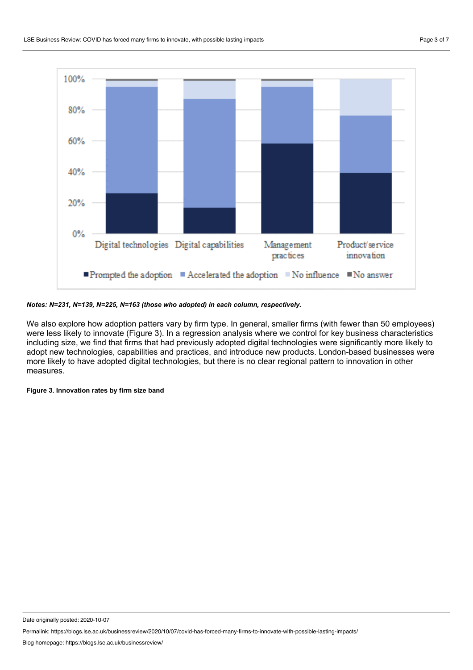

## *Notes: N=231, N=139, N=225, N=163 (those who adopted) in each column, respectively.*

We also explore how adoption patters vary by firm type. In general, smaller firms (with fewer than 50 employees) were less likely to innovate (Figure 3). In a regression analysis where we control for key business characteristics including size, we find that firms that had previously adopted digital technologies were significantly more likely to adopt new technologies, capabilities and practices, and introduce new products. London-based businesses were more likely to have adopted digital technologies, but there is no clear regional pattern to innovation in other measures.

**Figure 3. Innovation rates by firm size band**

Date originally posted: 2020-10-07

Permalink: https://blogs.lse.ac.uk/businessreview/2020/10/07/covid-has-forced-many-firms-to-innovate-with-possible-lasting-impacts/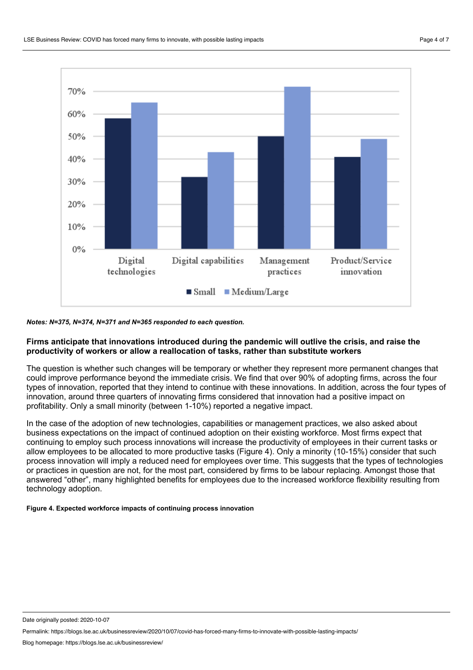

## *Notes: N=375, N=374, N=371 and N=365 responded to each question.*

## **Firms anticipate that innovations introduced during the pandemic will outlive the crisis, and raise the productivity of workers or allow a reallocation of tasks, rather than substitute workers**

The question is whether such changes will be temporary or whether they represent more permanent changes that could improve performance beyond the immediate crisis. We find that over 90% of adopting firms, across the four types of innovation, reported that they intend to continue with these innovations. In addition, across the four types of innovation, around three quarters of innovating firms considered that innovation had a positive impact on profitability. Only a small minority (between 1-10%) reported a negative impact.

In the case of the adoption of new technologies, capabilities or management practices, we also asked about business expectations on the impact of continued adoption on their existing workforce. Most firms expect that continuing to employ such process innovations will increase the productivity of employees in their current tasks or allow employees to be allocated to more productive tasks (Figure 4). Only a minority (10-15%) consider that such process innovation will imply a reduced need for employees over time. This suggests that the types of technologies or practices in question are not, for the most part, considered by firms to be labour replacing. Amongst those that answered "other", many highlighted benefits for employees due to the increased workforce flexibility resulting from technology adoption.

## **Figure 4. Expected workforce impacts of continuing process innovation**

Date originally posted: 2020-10-07

Permalink: https://blogs.lse.ac.uk/businessreview/2020/10/07/covid-has-forced-many-firms-to-innovate-with-possible-lasting-impacts/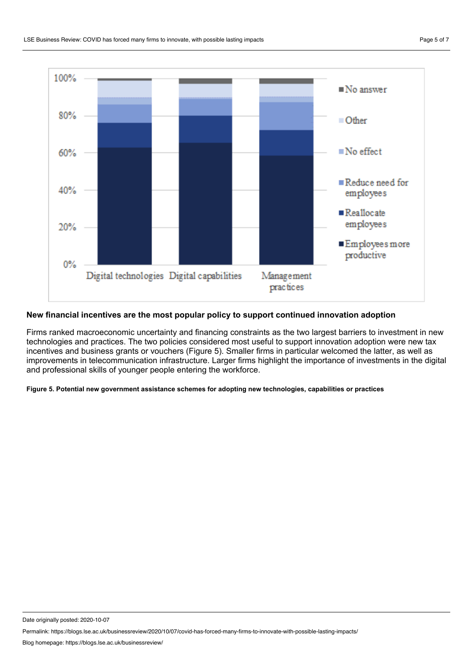

# **New financial incentives are the most popular policy to support continued innovation adoption**

Firms ranked macroeconomic uncertainty and financing constraints as the two largest barriers to investment in new technologies and practices. The two policies considered most useful to support innovation adoption were new tax incentives and business grants or vouchers (Figure 5). Smaller firms in particular welcomed the latter, as well as improvements in telecommunication infrastructure. Larger firms highlight the importance of investments in the digital and professional skills of younger people entering the workforce.

**Figure 5. Potential new government assistance schemes for adopting new technologies, capabilities or practices**

Date originally posted: 2020-10-07

Permalink: https://blogs.lse.ac.uk/businessreview/2020/10/07/covid-has-forced-many-firms-to-innovate-with-possible-lasting-impacts/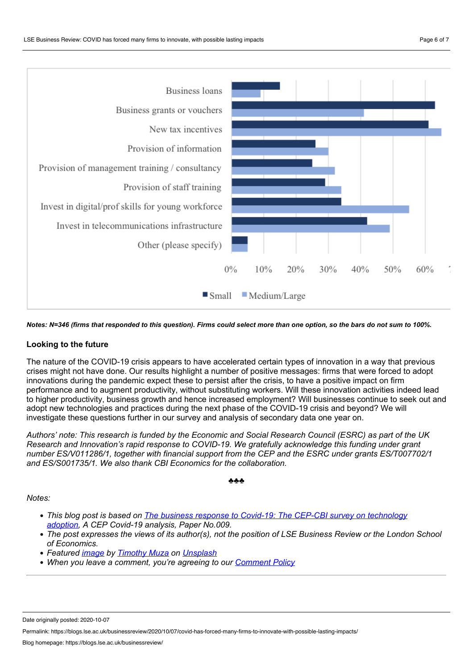

Notes: N=346 (firms that responded to this question). Firms could select more than one option, so the bars do not sum to 100%.

# **Looking to the future**

The nature of the COVID-19 crisis appears to have accelerated certain types of innovation in a way that previous crises might not have done. Our results highlight a number of positive messages: firms that were forced to adopt innovations during the pandemic expect these to persist after the crisis, to have a positive impact on firm performance and to augment productivity, without substituting workers. Will these innovation activities indeed lead to higher productivity, business growth and hence increased employment? Will businesses continue to seek out and adopt new technologies and practices during the next phase of the COVID-19 crisis and beyond? We will investigate these questions further in our survey and analysis of secondary data one year on.

Authors' note: This research is funded by the Economic and Social Research Council (ESRC) as part of the UK *Research and Innovation's rapid response to COVID-19. We gratefully acknowledge this funding under grant number ES/V011286/1, together with financial support from the CEP and the ESRC under grants ES/T007702/1 and ES/S001735/1. We also thank CBI Economics for the collaboration.*

## ♣♣♣

# *Notes:*

- *This blog post is based on The business response to Covid-19: The CEP-CBI survey on [technology](http://cep.lse.ac.uk/pubs/download/cepcovid-19-009.pdf) adoption, A CEP Covid-19 analysis, Paper No.009.*
- The post expresses the views of its author(s), not the position of LSE Business Review or the London School *of Economics.*
- *Featured [image](https://unsplash.com/photos/6VjPmyMj5KM) by [Timothy](https://unsplash.com/@timothymuza?utm_source=unsplash&utm_medium=referral&utm_content=creditCopyText) Muza on [Unsplash](https://unsplash.com/?utm_source=unsplash&utm_medium=referral&utm_content=creditCopyText)*
- *When you leave a comment, you're agreeing to our [Comment](https://blogs.lse.ac.uk/businessreview/comment-policy/) Policy*

Date originally posted: 2020-10-07

Permalink: https://blogs.lse.ac.uk/businessreview/2020/10/07/covid-has-forced-many-firms-to-innovate-with-possible-lasting-impacts/